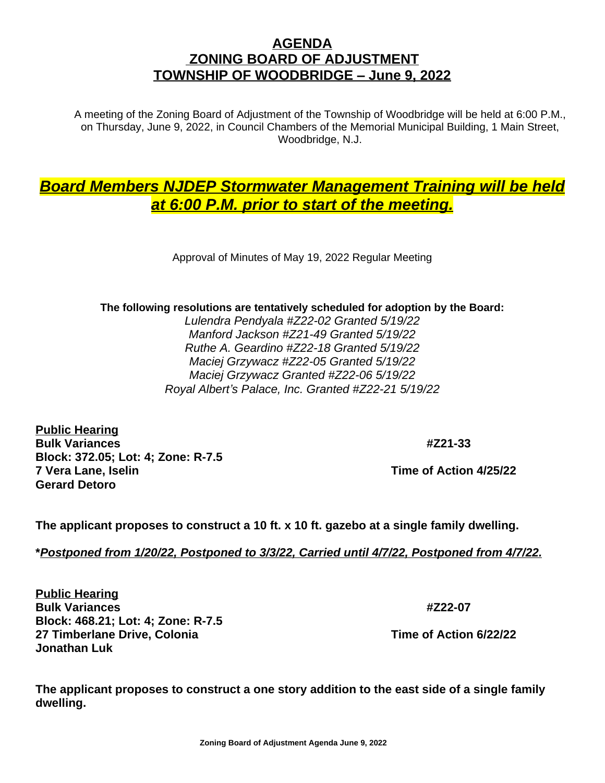## **AGENDA ZONING BOARD OF ADJUSTMENT TOWNSHIP OF WOODBRIDGE – June 9, 2022**

A meeting of the Zoning Board of Adjustment of the Township of Woodbridge will be held at 6:00 P.M., on Thursday, June 9, 2022, in Council Chambers of the Memorial Municipal Building, 1 Main Street, Woodbridge, N.J.

## *Board Members NJDEP Stormwater Management Training will be held at 6:00 P.M. prior to start of the meeting.*

Approval of Minutes of May 19, 2022 Regular Meeting

## **The following resolutions are tentatively scheduled for adoption by the Board:**

*Lulendra Pendyala #Z22-02 Granted 5/19/22 Manford Jackson #Z21-49 Granted 5/19/22 Ruthe A. Geardino #Z22-18 Granted 5/19/22 Maciej Grzywacz #Z22-05 Granted 5/19/22 Maciej Grzywacz Granted #Z22-06 5/19/22 Royal Albert's Palace, Inc. Granted #Z22-21 5/19/22*

**Public Hearing Bulk Variances #Z21-33 Block: 372.05; Lot: 4; Zone: R-7.5 7 Vera Lane, Iselin Time of Action 4/25/22 Gerard Detoro**

**The applicant proposes to construct a 10 ft. x 10 ft. gazebo at a single family dwelling.**

**\****Postponed from 1/20/22, Postponed to 3/3/22, Carried until 4/7/22, Postponed from 4/7/22.*

**Public Hearing Bulk Variances #Z22-07 Block: 468.21; Lot: 4; Zone: R-7.5 27 Timberlane Drive, Colonia Time of Action 6/22/22 Jonathan Luk**

**The applicant proposes to construct a one story addition to the east side of a single family dwelling.**